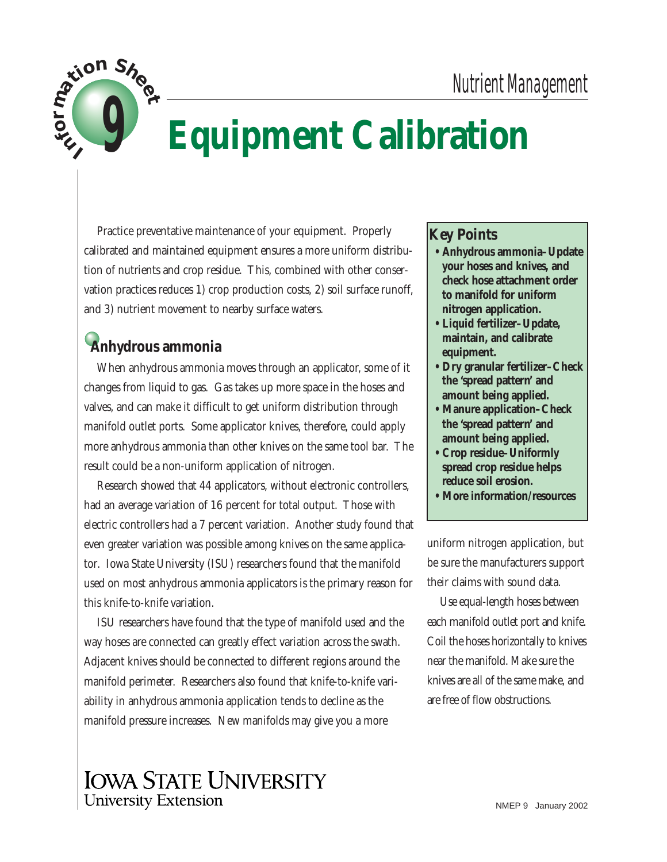

# **Equipment Calibration**

Practice preventative maintenance of your equipment. Properly calibrated and maintained equipment ensures a more uniform distribution of nutrients and crop residue. This, combined with other conservation practices reduces 1) crop production costs, 2) soil surface runoff, and 3) nutrient movement to nearby surface waters.

# **Anhydrous ammonia**

When anhydrous ammonia moves through an applicator, some of it changes from liquid to gas. Gas takes up more space in the hoses and valves, and can make it difficult to get uniform distribution through manifold outlet ports. Some applicator knives, therefore, could apply more anhydrous ammonia than other knives on the same tool bar. The result could be a non-uniform application of nitrogen.

Research showed that 44 applicators, without electronic controllers, had an average variation of 16 percent for total output. Those with electric controllers had a 7 percent variation. Another study found that even greater variation was possible among knives on the same applicator*.* Iowa State University (ISU) researchers found that the manifold used on most anhydrous ammonia applicators is the primary reason for this knife-to-knife variation.

ISU researchers have found that the type of manifold used and the way hoses are connected can greatly effect variation across the swath. Adjacent knives should be connected to different regions around the manifold perimeter. Researchers also found that knife-to-knife variability in anhydrous ammonia application tends to decline as the manifold pressure increases. New manifolds may give you a more

#### **Key Points**

- **Anhydrous ammonia–Update your hoses and knives, and check hose attachment order to manifold for uniform nitrogen application.**
- **Liquid fertilizer–Update, maintain, and calibrate equipment.**
- **Dry granular fertilizer–Check the 'spread pattern' and amount being applied.**
- **Manure application–Check the 'spread pattern' and amount being applied.**
- **Crop residue–Uniformly spread crop residue helps reduce soil erosion.**
- **More information/resources**

uniform nitrogen application, but be sure the manufacturers support their claims with sound data.

Use equal-length hoses between each manifold outlet port and knife. Coil the hoses horizontally to knives near the manifold. Make sure the knives are all of the same make, and are free of flow obstructions.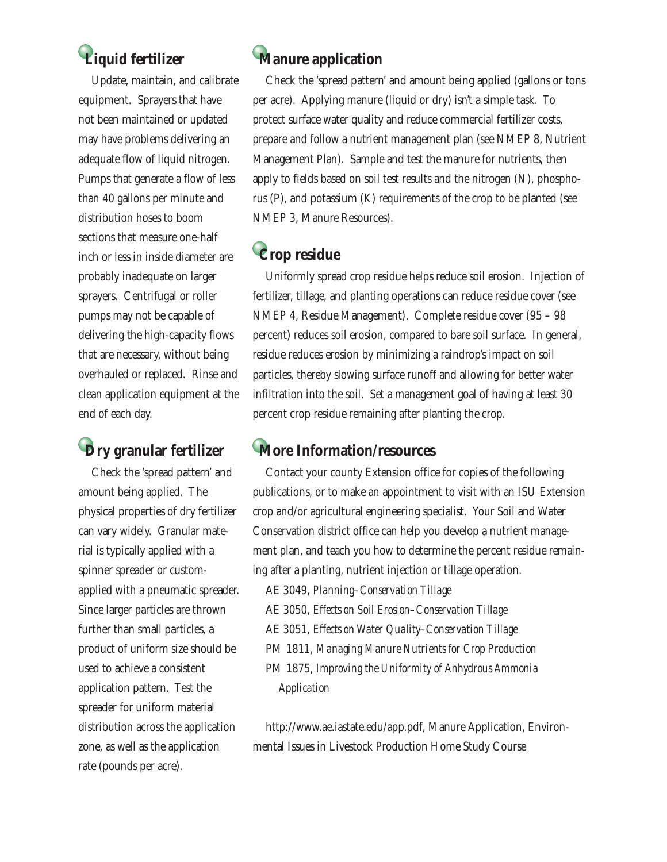# **Liquid fertilizer**

Update, maintain, and calibrate equipment.Sprayers that have not been maintained or updated may have problems delivering an adequate flow of liquid nitrogen. Pumps that generate a flow of less than 40 gallons per minute and distribution hoses to boom sections that measure one-half inch or less in inside diameter are probably inadequate on larger sprayers. Centrifugal or roller pumps may not be capable of delivering the high-capacity flows that are necessary, without being overhauled or replaced. Rinse and clean application equipment at the end of each day.

# **Dry granular fertilizer**

Check the 'spread pattern' and amount being applied. The physical properties of dry fertilizer can vary widely. Granular material is typically applied with a spinner spreader or customapplied with a pneumatic spreader. Since larger particles are thrown further than small particles, a product of uniform size should be used to achieve a consistent application pattern. Test the spreader for uniform material distribution across the application zone, as well as the application rate (pounds per acre).

# **Manure application**

Check the 'spread pattern' and amount being applied (gallons or tons per acre). Applying manure (liquid or dry) isn't a simple task. To protect surface water quality and reduce commercial fertilizer costs, prepare and follow a nutrient management plan (see NMEP 8, Nutrient Management Plan). Sample and test the manure for nutrients, then apply to fields based on soil test results and the nitrogen (N), phosphorus (P), and potassium (K) requirements of the crop to be planted (see NMEP 3, Manure Resources).

# **Crop residue**

Uniformly spread crop residue helps reduce soil erosion. Injection of fertilizer, tillage, and planting operations can reduce residue cover (see NMEP 4, Residue Management). Complete residue cover (95 – 98 percent) reduces soil erosion, compared to bare soil surface. In general, residue reduces erosion by minimizing a raindrop's impact on soil particles, thereby slowing surface runoff and allowing for better water infiltration into the soil. Set a management goal of having at least 30 percent crop residue remaining after planting the crop.

### **More Information/resources**

Contact your county Extension office for copies of the following publications, or to make an appointment to visit with an ISU Extension crop and/or agricultural engineering specialist. Your Soil and Water Conservation district office can help you develop a nutrient management plan, and teach you how to determine the percent residue remaining after a planting, nutrient injection or tillage operation.

AE 3049, *Planning–Conservation Tillage* AE 3050, *Effects on Soil Erosion–Conservation Tillage* AE 3051, *Effects on Water Quality–Conservation Tillage* PM 1811, *Managing Manure Nutrients for Crop Production* PM 1875, *Improving the Uniformity of Anhydrous Ammonia Application*

http://www.ae.iastate.edu/app.pdf, Manure Application, Environmental Issues in Livestock Production Home Study Course